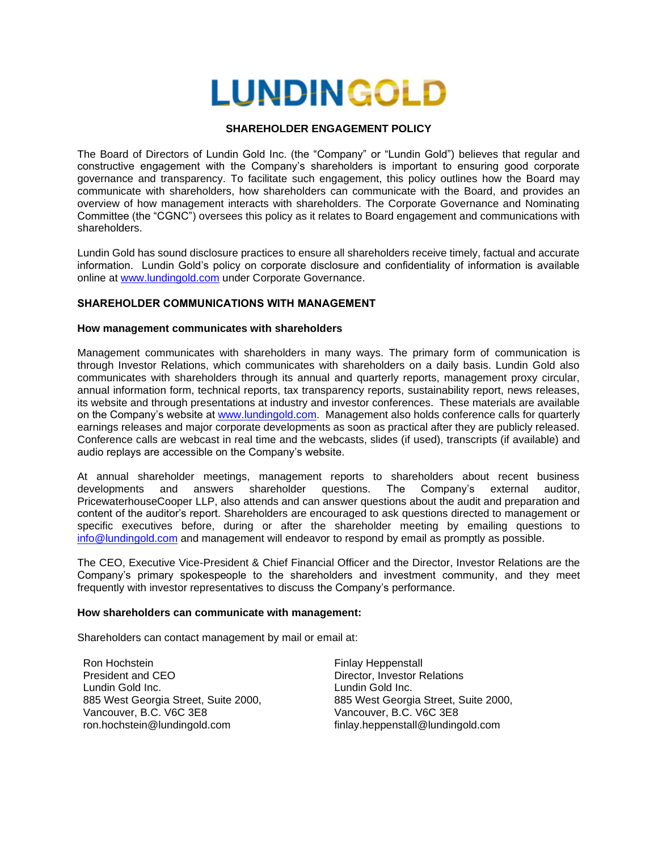# **LUNDINGOLD**

## **SHAREHOLDER ENGAGEMENT POLICY**

The Board of Directors of Lundin Gold Inc. (the "Company" or "Lundin Gold") believes that regular and constructive engagement with the Company's shareholders is important to ensuring good corporate governance and transparency. To facilitate such engagement, this policy outlines how the Board may communicate with shareholders, how shareholders can communicate with the Board, and provides an overview of how management interacts with shareholders. The Corporate Governance and Nominating Committee (the "CGNC") oversees this policy as it relates to Board engagement and communications with shareholders.

Lundin Gold has sound disclosure practices to ensure all shareholders receive timely, factual and accurate information. Lundin Gold's policy on corporate disclosure and confidentiality of information is available online at [www.lundingold.com](http://www.lundingold.com/) under Corporate Governance.

## **SHAREHOLDER COMMUNICATIONS WITH MANAGEMENT**

## **How management communicates with shareholders**

Management communicates with shareholders in many ways. The primary form of communication is through Investor Relations, which communicates with shareholders on a daily basis. Lundin Gold also communicates with shareholders through its annual and quarterly reports, management proxy circular, annual information form, technical reports, tax transparency reports, sustainability report, news releases, its website and through presentations at industry and investor conferences. These materials are available on the Company's website at [www.lundingold.com.](http://www.lundingold.com/) Management also holds conference calls for quarterly earnings releases and major corporate developments as soon as practical after they are publicly released. Conference calls are webcast in real time and the webcasts, slides (if used), transcripts (if available) and audio replays are accessible on the Company's website.

At annual shareholder meetings, management reports to shareholders about recent business developments and answers shareholder questions. The Company's external auditor, PricewaterhouseCooper LLP, also attends and can answer questions about the audit and preparation and content of the auditor's report. Shareholders are encouraged to ask questions directed to management or specific executives before, during or after the shareholder meeting by emailing questions to [info@lundingold.com](mailto:info@lundingold.com) and management will endeavor to respond by email as promptly as possible.

The CEO, Executive Vice-President & Chief Financial Officer and the Director, Investor Relations are the Company's primary spokespeople to the shareholders and investment community, and they meet frequently with investor representatives to discuss the Company's performance.

#### **How shareholders can communicate with management:**

Shareholders can contact management by mail or email at:

Ron Hochstein President and CEO Lundin Gold Inc. 885 West Georgia Street, Suite 2000, Vancouver, B.C. V6C 3E8 ron.hochstein@lundingold.com

Finlay Heppenstall Director, Investor Relations Lundin Gold Inc. 885 West Georgia Street, Suite 2000, Vancouver, B.C. V6C 3E8 finlay.heppenstall@lundingold.com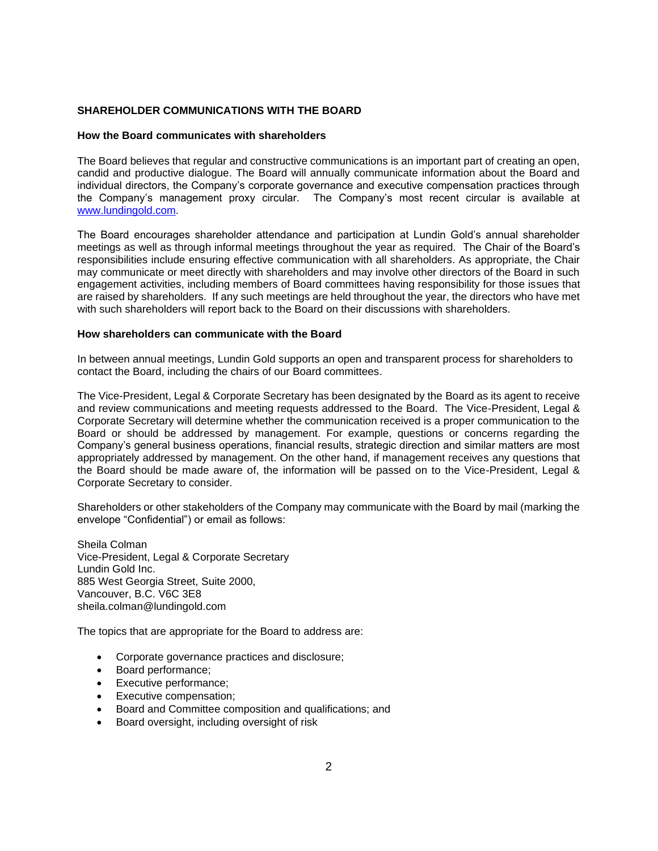## **SHAREHOLDER COMMUNICATIONS WITH THE BOARD**

#### **How the Board communicates with shareholders**

The Board believes that regular and constructive communications is an important part of creating an open, candid and productive dialogue. The Board will annually communicate information about the Board and individual directors, the Company's corporate governance and executive compensation practices through the Company's management proxy circular. The Company's most recent circular is available at [www.lundingold.com.](http://www.lundingold.com/)

The Board encourages shareholder attendance and participation at Lundin Gold's annual shareholder meetings as well as through informal meetings throughout the year as required. The Chair of the Board's responsibilities include ensuring effective communication with all shareholders. As appropriate, the Chair may communicate or meet directly with shareholders and may involve other directors of the Board in such engagement activities, including members of Board committees having responsibility for those issues that are raised by shareholders. If any such meetings are held throughout the year, the directors who have met with such shareholders will report back to the Board on their discussions with shareholders.

#### **How shareholders can communicate with the Board**

In between annual meetings, Lundin Gold supports an open and transparent process for shareholders to contact the Board, including the chairs of our Board committees.

The Vice-President, Legal & Corporate Secretary has been designated by the Board as its agent to receive and review communications and meeting requests addressed to the Board. The Vice-President, Legal & Corporate Secretary will determine whether the communication received is a proper communication to the Board or should be addressed by management. For example, questions or concerns regarding the Company's general business operations, financial results, strategic direction and similar matters are most appropriately addressed by management. On the other hand, if management receives any questions that the Board should be made aware of, the information will be passed on to the Vice-President, Legal & Corporate Secretary to consider.

Shareholders or other stakeholders of the Company may communicate with the Board by mail (marking the envelope "Confidential") or email as follows:

Sheila Colman Vice-President, Legal & Corporate Secretary Lundin Gold Inc. 885 West Georgia Street, Suite 2000, Vancouver, B.C. V6C 3E8 sheila.colman@lundingold.com

The topics that are appropriate for the Board to address are:

- Corporate governance practices and disclosure;
- Board performance;
- Executive performance;
- Executive compensation;
- Board and Committee composition and qualifications; and
- Board oversight, including oversight of risk